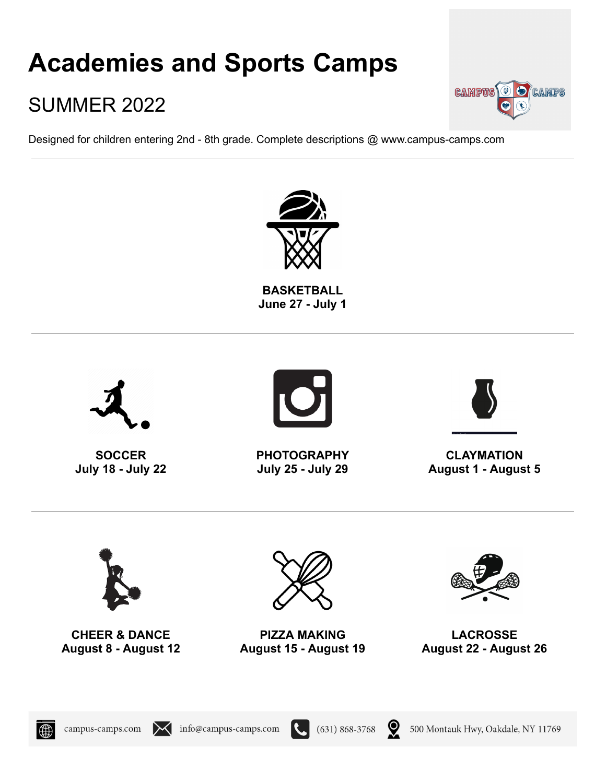# **Academies and Sports Camps**

# SUMMER 2022

Designed for children entering 2nd - 8th grade. Complete descriptions @ www.campus-camps.com





**CAMPUS O O CAMPS** 

campus-camps.com

IXI